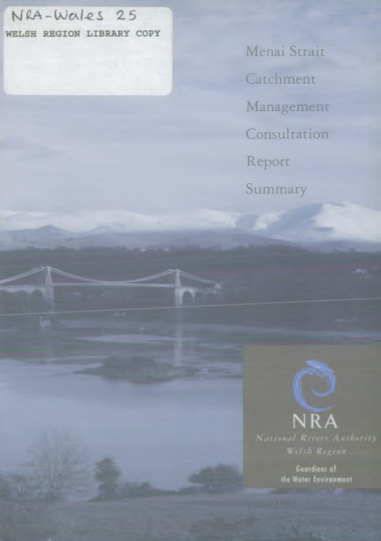# NRA-Wales 25

WELSH REGION LIBRARY COPY

Menai Strait Catchment Management **Consultation** Report Summary



**Guardians of** the Water Environment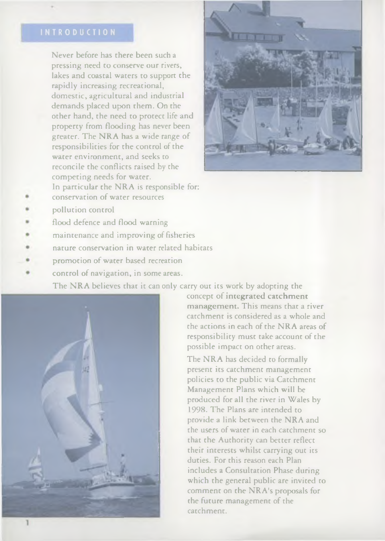Never before has there been such a pressing need to conserve our rivers, lakes and coastal waters to support the rapidly increasing recreational, dom estic, agricultural and industrial demands placed upon them. On the other hand, the need to protect life and property from flooding has never been greater. The NRA has a wide range of responsibilities for the control of the water environment, and seeks to reconcile the conflicts raised by the com peting needs for water. In particular the NRA is responsible for:



- pollution control
- flood defence and flood warning
- maintenance and improving of fisheries

conservation of water resources

- nature conservation in water related habitats
- promotion of water based recreation
- control of navigation, in some areas.

The NRA believes that it can only carry out its work by adopting the



concept of integrated catchment management. This means that a river catchment is considered as a whole and the actions in each of the NRA areas of responsibility must take account of the possible impact on other areas.

The NRA has decided to formally present its catchment management policies to the public via Catchment Management Plans which will be produced for all the river in W ales by 1998. The Plans are intended to provide a link between the NRA and the users of water in each catchment so that the Authority can better reflect their interests whilst carrying out its duties. For this reason each Plan includes a Consultation Phase during which the general public are invited to comment on the NRA's proposals for the future management of the catchment.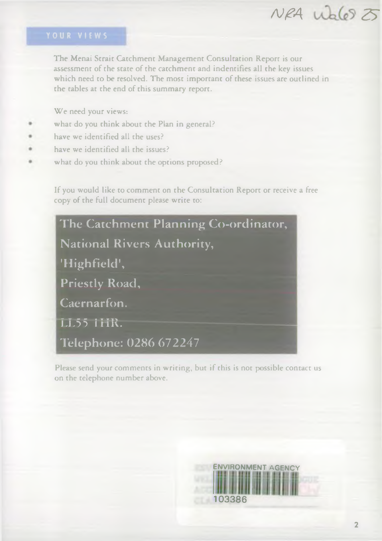# *AJfA 25*

The Menai Strait Catchment Management Consultation Report is our assessment of the state of the catchment and indentifies all the key issues which need to be resolved. The most important of these issues are outlined in the tables at the end of this summary report.

We need your views:

- what do you think about the Plan in general?
- have we identified all the uses?
- have we identified all the issues?
- what do you think about the options proposed?

If you would like to comment on the Consultation Report or receive a free copy of the full document please write to:

| The Catchment Planning Co-ordinator, |
|--------------------------------------|
| National Rivers Authority,           |
| 'Highfield',                         |
| <b>Priestly Road,</b>                |
| Caernarfon.                          |
| LL55 HIR.                            |
| Telephone: 0286 672247               |

Please send your comments in writing, but if this is not possible contact us on the telephone number above.

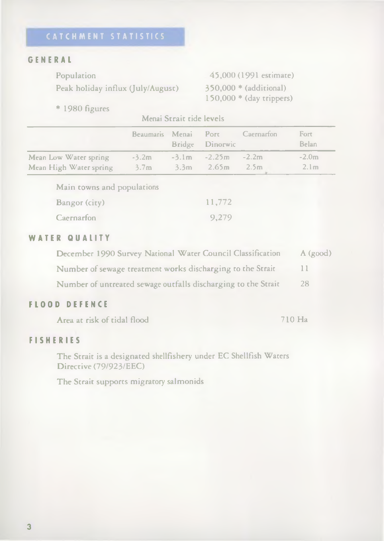### GENERAL

Population

Peak holiday influx (July/August)

45,000 (1991 estimate) 350,000 \* (additional) 150.000 \* (day trippers)

 $*$  1980 figures

Menai Strait tide levels

|                        | Beaumaris Menai Port | Bridge Dinorwic       | Caernarfon | Fort<br>Belan    |
|------------------------|----------------------|-----------------------|------------|------------------|
| Mean Low Water spring  | $-3.2m$              | $-3.1m -2.25m -2.2m$  |            | $-2.0m$          |
| Mean High Water spring | 3.7 <sub>m</sub>     | $3.3m$ $2.65m$ $2.5m$ |            | 2.1 <sub>m</sub> |

Main towns and populations

| Bangor (city) | 11,772 |
|---------------|--------|
| Caernarfon    | 9,279  |

## WATER QUALITY

| December 1990 Survey National Water Council Classification    | A(good) |
|---------------------------------------------------------------|---------|
| Number of sewage treatment works discharging to the Strait    |         |
| Number of untreated sewage outfalls discharging to the Strait | 28      |

### FLOOD DEFENCE

Area at risk of tidal flood 710 Ha

### FISHERIES

The Strait is a designated shellfishery under EC Shellfish Waters Directive (79/923/EEC)

The Strait supports migratory salmonids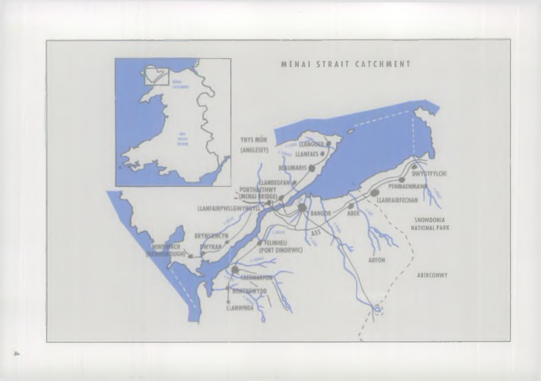

z.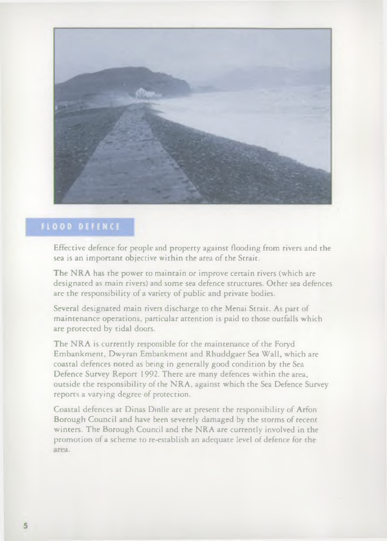

## **FLOOD DEFENCE**

Effective defence for people and property against flooding from rivers and the sea is an important objective within the area of the Strait.

The NRA has the power to maintain or improve certain rivers (which are designated as main rivers) and some sea defence structures. Other sea defences are the responsibility of a variety of public and private bodies.

Several designated main rivers discharge to the Menai Strait. As part of maintenance operations, particular attention is paid to those outfalls which are protected by tidal doors.

The NRA is currently responsible for the maintenance of the Foryd Embankment, Dwyran Embankment and Rhuddgaer Sea Wall, which are coastal defences noted as being in generally good condition by the Sea Defence Survey Report 1992. There are many defences within the area, outside the responsibility of the NRA, against which the Sea Defence Survey reports a varying degree of protection.

Coastal defences at Dinas Dinlle are at present the responsibility of Arfon Borough Council and have been severely damaged by the storms of recent winters. The Borough Council and the NRA are currently involved in the promotion of a scheme to re-establish an adequate level of defence for the area.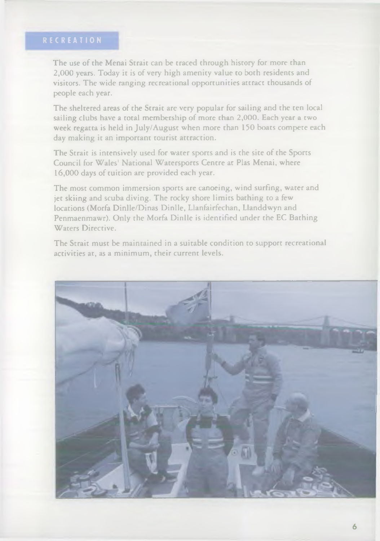The use of the Menai Strait can be traced through history for more than 2.000 years. Today it is of very high amenity value to both residents and visitors. The wide ranging recreational opportunities attract thousands of people each year.

The sheltered areas of the Strait are very popular for sailing and the ten local sailing clubs have a total membership of more than 2,000. Each year a two week regatta is held in July/August when more than 150 boats compete each day making it an important tourist attraction.

The Strait is intensively used for water sports and is the site of the Sports Council for W ales' National W atersports Centre at Plas Menai, where 16.000 days of tuition are provided each year.

The most common immersion sports are canoeing, wind surfing, water and jet skiing and scuba diving. The rocky shore limits bathing to a few locations (Morfa Dinlle/Dinas Dinlle, Llanfairfechan, Llanddwyn and Penmaenmawr). Only the Morfa Dinlle is identified under the EC Bathing Waters Directive.

The Strait must be maintained in a suitable condition to support recreational activities at, as a minimum, their current levels.

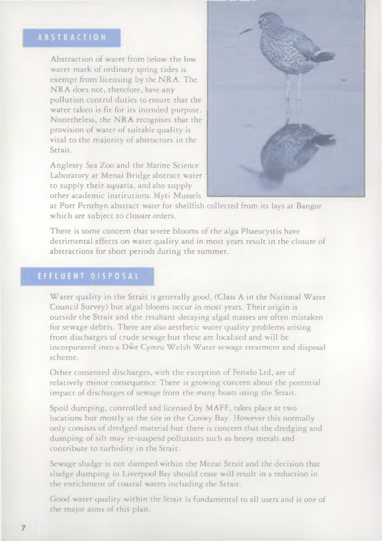Abstraction of water from below the low water mark of ordinary spring tides is exempt from licensing by the NRA. The NRA does not, therefore, have any pollution control duties to ensure that the water taken is fit for its intended purpose. Nonetheless, the NRA recognises that the provision of water of suitable quality is vital to the majority of abstractors in the Strait.

Anglesey Sea Zoo and the Marine Science Laboratory at Menai Bridge abstract water to supply their aquaria, and also supply other academic institutions. Myti Mussels



at Port Penrhyn abstract water for shellfish collected from its lays at Bangor which are subject to closure orders.

There is some concern that severe blooms of the alga Phaeocystis have detrimental effects on water quality and in most years result in the closure of abstractions for short periods during the summer.

Water quality in the Strait is generally good, (Class A in the National Water Council Survey) but algal blooms occur in most years. Their origin is outside the Strait and the resultant decaying algal masses are often mistaken for sewage debris. There are also aesthetic water quality problems arising from discharges of crude sewage but these are localised and will be incorporated into a Dwr Cymru Welsh Water sewage treatment and disposal scheme.

Other consented discharges, with the exception of Ferodo Ltd, are of relatively minor consequence. There is growing concern about the potential impact of discharges of sewage from the many boats using the Strait.

Spoil dumping, controlled and licensed by MAFF, takes place at two locations but mostly at the site in the Conwy Bay. However this normally only consists of dredged material but there is concern that the dredging and dumping of silt may re-suspend pollutants such as heavy metals and contribute to turbidity in the Strait.

Sewage sludge is not dumped within the Menai Strait and the decision that sludge dumping in Liverpool Bay should cease will result in a reduction in the enrichment of coastal waters including the Strait.

Good water quality within the Strait is fundamental to all users and is one of the major aims of this plan.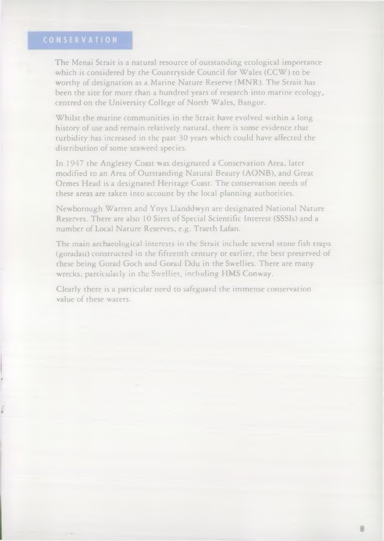The Menai Strait is a natural resource of outstanding ecological importance which is considered by the Countryside Council for Wales (CCW) to be worthy of designation as a Marine Nature Reserve (MNR). The Strait has been the site for more than a hundred years of research into marine ecology, centred on the University College of North Wales, Bangor.

Whilst the marine communities in the Strait have evolved within a long history of use and remain relatively natural, there is some evidence that turbidity has increased in the past 30 years which could have affected the distribution of some seaweed species.

In 1947 the Anglesey Coast was designated a Conservation Area, later modified to an Area of Outstanding Natural Beauty (AONB), and Great Ormes Head is a designated Heritage Coast. The conservation needs of these areas are taken into account by the local planning authorities.

Newborough Warren and Ynys Llanddwyn are designated National Nature Reserves. There are also 10 Sites of Special Scientific Interest (SSSIs) and a number of Local Nature Reserves, e.g. Traeth Lafan.

The main archaeological interests in the Strait include several stone fish traps (goradau) constructed in the fifteenth century or earlier, the best preserved of these being Gorad Goch and Gorad Ddu in the Swellies. There are many wrecks, particularly in the Swellies, including HMS Conway.

Clearly there is a particular need to safeguard the immense conservation value of these waters.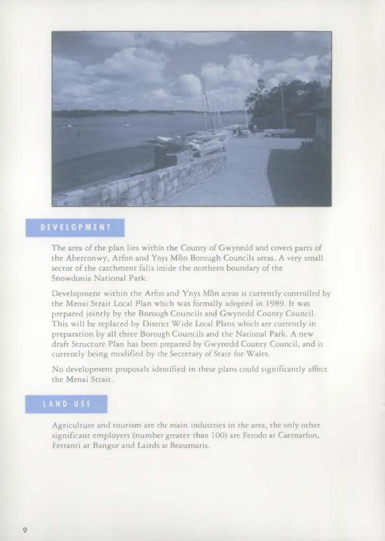

## DEVELOPMENT

The area of the plan lies within the County of Gwynedd and covers parts of the Aberconwy, Arfon and Ynys Mon Borough Councils areas. A very small sector of the catchment falls inside the northern boundary of the Snowdonia National Park.

Development within the Arfon and Ynys Mon areas is currently controlled by the Menai Strait Local Plan which was formally adopted in 1989. It was prepared jointly by the Borough Councils and Gwynedd County Council. This will be replaced by District Wide Local Plans which are currently in preparation by all three Borough Councils and the National Park. A new draft Structure Plan has been prepared by Gwynedd County Council, and is currently being modified by the Secretary of State for Wales.

No development proposals identified in these plans could significantly affect the Menai Strait.

Agriculture and tourism are the main industries in the area, the only other significant employers (number greater than 100) are Ferodo at Caernarfon, Ferranti at Bangor and Lairds at Beaumaris.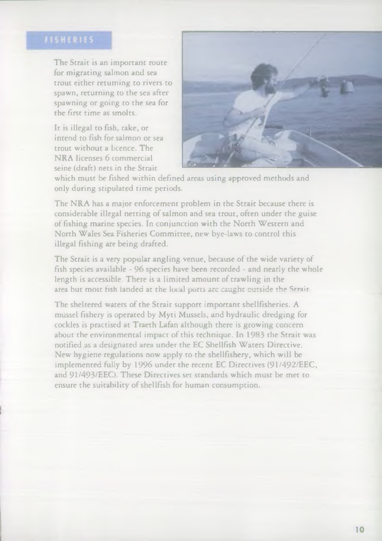The Strait is an important route for migrating salmon and sea trout either returning to rivers to spawn, returning to the sea after spawning or going to the sea for the first time as smolts.

trout without a licence. The NRA licenses 6 commercial It is illegal to fish, take, or intend to fish for salmon or sea seine (draft) nets in the Strait



which must be fished within defined areas using approved methods and only during stipulated time periods.

The NRA has a major enforcement problem in the Strait because there is considerable illegal netting of salmon and sea trout, often under the guise of fishing marine species. In conjunction with the North Western and North Wales Sea Fisheries Committee, new bye-laws to control this illegal fishing are being drafted.

The Strait is a very popular angling venue, because of the wide variety of fish species available - 96 species have been recorded - and nearly the whole length is accessible. There is a limited amount of trawling in the area but most fish ianded at the local pufts arc caught outside the Srrair

The sheltered waters of the Strait support important shellfisheries. A mussel fishery is operated by Myti Mussels, and hydraulic dredging for cockles is practised at Traeth Lafan although there is grow ing concern about the environmental impact of this technique. In 1983 the Strait was notified as a designated area under the EC Shellfish W aters Directive. New hygiene regulations now apply to the shellfishery, which will be implemented fully by 1996 under the recent EC Directives (91/492/EEC, and 91/493/EEC). These Directives set standards which must be met to ensure the suitability of shellfish for human consumption.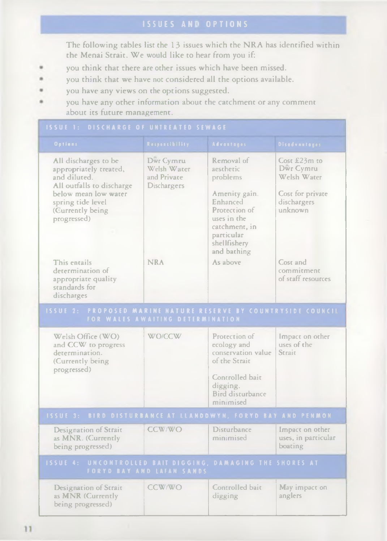The following tables list the 13 issues which the NRA has identified within the Menai Strait. We would like to hear from you if:

- you think that there are other issues which have been missed,
- you think that we have not considered all the options available,
- you have any views on the options suggested.
- you have any other information about the catchment or any comment about its future management.

| <b>Options</b>                                                                                                                                                              | Responsibility                                         | Advantages:                                                                                                                                                    | Disadvantages                                                                          |  |  |
|-----------------------------------------------------------------------------------------------------------------------------------------------------------------------------|--------------------------------------------------------|----------------------------------------------------------------------------------------------------------------------------------------------------------------|----------------------------------------------------------------------------------------|--|--|
| All discharges to be<br>appropriately treated,<br>and diluted.<br>All outfalls to discharge<br>below mean low water<br>spring tide level<br>(Currently being<br>progressed) | Dwr Cymru<br>Welsh Water<br>and Private<br>Dischargers | Removal of<br>aesthetic<br>problems<br>Amenity gain.<br>Enhanced<br>Protection of<br>uses in the<br>catchment, in<br>particular<br>shellfishery<br>and bathing | Cost £23m to<br>Dwr Cymru<br>Welsh Water<br>Cost for private<br>dischargers<br>unknown |  |  |
| This entails<br>determination of<br>appropriate quality<br>standards for<br>discharges                                                                                      | <b>NRA</b>                                             | As above                                                                                                                                                       | Cost and<br>commitment<br>of staff resources                                           |  |  |
| ISSUE 2: PROPOSED MARINE NATURE RESERVE BY COUNTRYSIDE COUNCIL<br>FOR WALES AWAITING DETERMINATION                                                                          |                                                        |                                                                                                                                                                |                                                                                        |  |  |
| Welsh Office (WO)<br>and CCW to progress<br>determination.<br>(Currently being)<br>progressed)                                                                              | <b>WO/CCW</b>                                          | Protection of<br>ecology and<br>conservation value<br>of the Strait<br>Controlled bait<br>digging.<br><b>Bird disturbance</b><br>minimised                     | Impact on other<br>uses of the<br>Strait.                                              |  |  |
| <b>ISSUE 3: BIRD DISTURBANCE AT LLANDOWYN, FORYD BAY AND PENMON</b>                                                                                                         |                                                        |                                                                                                                                                                |                                                                                        |  |  |
| Designation of Strait<br>as MNR. (Currently<br>being progressed)                                                                                                            | CCW/WO                                                 | Disturbance<br>minimised                                                                                                                                       | Impact on other<br>uses, in particular<br>boating                                      |  |  |
| ISSUE 4: UNCONTROLLED BAIT DIGGING, DAMAGING THE SHORES AT<br>FORYD BAY AND LAFAN SANDS                                                                                     |                                                        |                                                                                                                                                                |                                                                                        |  |  |
| Designation of Strait<br>as MNR (Currently<br>being progressed)                                                                                                             | CCW/WO                                                 | Controlled bait<br>digging                                                                                                                                     | May impact on<br>anglers                                                               |  |  |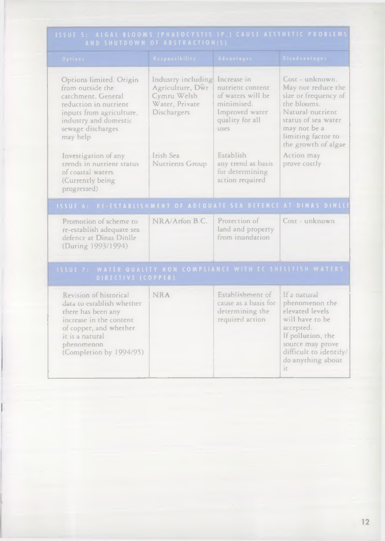| AND SHUTDOWN OF ABSTRACTION(S)                                                              |                                                                                                                                                                                            |                                                                                               |                                                                                                                 |                                                                                                                                                                                      |  |
|---------------------------------------------------------------------------------------------|--------------------------------------------------------------------------------------------------------------------------------------------------------------------------------------------|-----------------------------------------------------------------------------------------------|-----------------------------------------------------------------------------------------------------------------|--------------------------------------------------------------------------------------------------------------------------------------------------------------------------------------|--|
|                                                                                             | Options                                                                                                                                                                                    | <b>Responsibility</b>                                                                         | <b>Advantages</b>                                                                                               | Disadvantages :                                                                                                                                                                      |  |
|                                                                                             | Options limited. Origin<br>from outside the<br>catchment. General<br>reduction in nutrient<br>inputs from agriculture.<br>industry and domestic<br>sewage discharges<br>may help           | Industry including<br>Agriculture, Dwr<br>Cymru Welsh<br>Water, Private<br><b>Dischargers</b> | Increase in<br>nutrient content<br>of waters will be<br>minimised.<br>Improved water<br>quality for all<br>uses | Cost - unknown.<br>May not reduce the<br>size or frequency of<br>the blooms.<br>Natural nutrient<br>status of sea water<br>may not be a<br>limiting factor to<br>the growth of algae |  |
|                                                                                             | Investigation of any<br>trends in nutrient status<br>of coastal waters<br>(Currently being<br>progressed)                                                                                  | Irish Sea<br>Nutrients Group                                                                  | Establish<br>any trend as basis<br>for determining<br>action required                                           | Action may<br>prove costly                                                                                                                                                           |  |
|                                                                                             | ISSUE 6: RE-ESTABLISHMENT OF ADEQUATE SEA DEFENCE AT DINAS DINLLI                                                                                                                          |                                                                                               |                                                                                                                 |                                                                                                                                                                                      |  |
|                                                                                             | Promotion of scheme to<br>re-establish adequate sea<br>defence at Dinas Dinlle<br>(During 1993/1994)                                                                                       | NRA/Arfon B.C.                                                                                | Protection of<br>land and property<br>from inundation                                                           | Cost - unknown                                                                                                                                                                       |  |
| <b>ISSUE 7: WATER QUALITY NON COMPLIANCE WITH EC SHELLFISH WATERS</b><br>DIRECTIVE (COPPER) |                                                                                                                                                                                            |                                                                                               |                                                                                                                 |                                                                                                                                                                                      |  |
|                                                                                             | Revision of historical<br>data to establish whether<br>there has been any<br>increase in the content<br>of copper, and whether<br>it is a natural<br>phenomenon<br>(Completion by 1994/95) | <b>NRA</b>                                                                                    | Establishment of<br>cause as a basis for<br>determining the<br>required action                                  | If a natural<br>phenomenon the<br>elevated levels<br>will have to be<br>accepted.<br>If pollution, the<br>source may prove<br>difficult to identify/<br>do anything about<br>ir.     |  |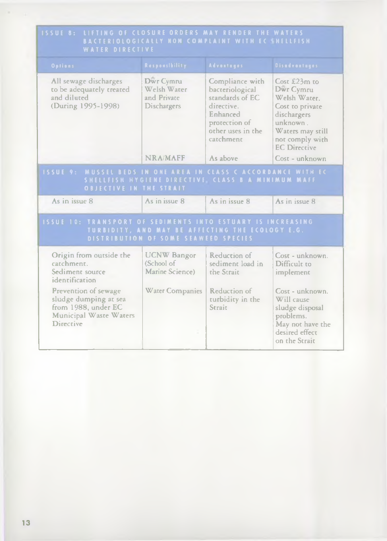| BACTERIOLOGICALLY NON COMPLAINT WITH ECSHELLFISH<br><b>WATER DIRECTIVE</b>                                                                                                                       |                                                                        |                                                                                                                                    |                                                                                                                                                       |  |
|--------------------------------------------------------------------------------------------------------------------------------------------------------------------------------------------------|------------------------------------------------------------------------|------------------------------------------------------------------------------------------------------------------------------------|-------------------------------------------------------------------------------------------------------------------------------------------------------|--|
| <b>Options</b>                                                                                                                                                                                   | <b>Responsibility</b>                                                  | <b>Advantages</b>                                                                                                                  | <b>Disadvantages</b>                                                                                                                                  |  |
| All sewage discharges<br>to be adequately treated<br>and diluted<br>(During 1995-1998)                                                                                                           | Dwr Cymru<br>Welsh Warer<br>and Private<br>Dischargers                 | Compliance with<br>bacteriological<br>standards of EC<br>directive.<br>Enhanced<br>protection of<br>other uses in the<br>catchment | Cost £23m to<br>Dwr Cymru<br>Welsh Water.<br>Cost to private<br>dischargers<br>unknown.<br>Waters may still<br>not comply with<br><b>EC</b> Directive |  |
|                                                                                                                                                                                                  | NRA/MAFF                                                               | As above                                                                                                                           | Cost - unknown                                                                                                                                        |  |
| <b>ISSUE 9: MUSSEL BEDS IN ONE AREA IN CLASS C ACCORDANCE WITH EC</b><br>SHELLFISH HYGIENE DIRECTIVE CLASS B A MINIMUM MAFF<br><b>OBJECTIVE IN THE STRAIT</b>                                    |                                                                        |                                                                                                                                    |                                                                                                                                                       |  |
| As in issue 8                                                                                                                                                                                    | As in issue 8                                                          | As in issue 8                                                                                                                      | As in issue 8                                                                                                                                         |  |
| <b>ISSUE 10: TRANSPORT OF SEDIMENTS INTO ESTUARY IS INCREASING</b><br>TURBIDITY, AND MAY BE AFFECTING THE ECOLOGY E.G.<br>DISTRIBUTION OF SOME SEAWEED SPECIES                                   |                                                                        |                                                                                                                                    |                                                                                                                                                       |  |
| Origin from outside the<br>catchment.<br>Sediment source<br>identification<br>Prevention of sewage<br>sludge dumping at sea<br>from 1988, under EC<br>Municipal Waste Waters<br><b>Directive</b> | <b>UCNW Bangor</b><br>(School of<br>Marine Science)<br>Water Companies | Reduction of<br>sediment load in<br>the Strait<br>Reduction of<br>turbidity in the<br>Strait                                       | Cost - unknown.<br>Difficult to<br>implement<br>Cost - unknown.<br>Will cause<br>sludge disposal<br>problems.                                         |  |
|                                                                                                                                                                                                  |                                                                        |                                                                                                                                    | May not have the<br>desired effect<br>on the Strait                                                                                                   |  |

# ISSUE 8: LIFTING OF CLOSURE ORDERS MAY RENDER THE WATER!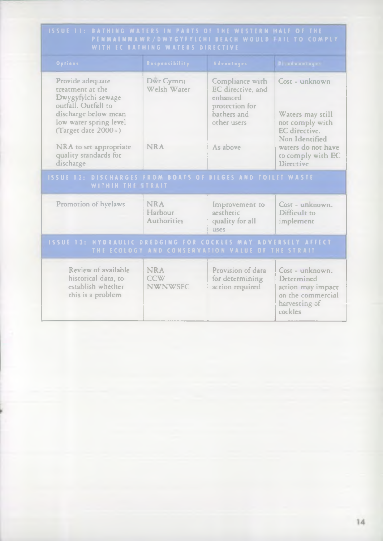| <b>ISSUE 11: BATHING WATERS IN PARTS OF THE WESTERN HALF OF THE</b><br>PENMAENMAWR/DWYGYFYLCHI BEACH WOULD HAIL TO COMPLY<br>WITH EC BATHING WATERS DIRECTIVE |                                            |                                                                                                  |                                                                                                        |  |
|---------------------------------------------------------------------------------------------------------------------------------------------------------------|--------------------------------------------|--------------------------------------------------------------------------------------------------|--------------------------------------------------------------------------------------------------------|--|
| Options.                                                                                                                                                      | Respensibility                             | <b>Advantages</b>                                                                                | Disadvantages                                                                                          |  |
| Provide adequate<br>treatment at the<br>Dwygyfylchi sewage<br>outfall. Outfall to<br>discharge below mean<br>low water spring level<br>(Target date 2000+)    | Dwr Cymru<br>Welsh Water                   | Compliance with<br>EC directive, and<br>enhanced<br>protection for<br>bathers and<br>other users | Cost - unknown<br>Waters may still<br>not comply with<br>EC directive.<br>Non Identified               |  |
| NRA to set appropriate<br>quality standards for<br>discharge                                                                                                  | <b>NRA</b>                                 | As above                                                                                         | waters do not have<br>to comply with EC<br><b>Directive</b>                                            |  |
| <b>ISSUE 12: DISCHARGES FROM BOATS OF BILGES AND TOILET WASTE</b><br>WITHIN THE STRAIT                                                                        |                                            |                                                                                                  |                                                                                                        |  |
| Promotion of byelaws                                                                                                                                          | <b>NRA</b><br>Harbour<br>Authorities       | Improvement to<br>aestheric<br>quality for all<br>PQ11                                           | Cost - unknown.<br>Difficult to<br>implement                                                           |  |
| <b>ISSUE 13: HYDRAULIC DREDGING FOR COCKLES MAY ADVERSELY AFFECT</b><br>THE ECOLOGY AND CONSERVATION VALUE OF THE STRAIT                                      |                                            |                                                                                                  |                                                                                                        |  |
| Review of available<br>historical data, to<br>establish whether<br>this is a problem                                                                          | <b>NRA</b><br><b>CCW</b><br><b>NWNWSFC</b> | Provision of data<br>for determining<br>action required                                          | $Cost - unknown$ .<br>Determined<br>action may impact<br>on the commercial<br>harvesting of<br>cockles |  |